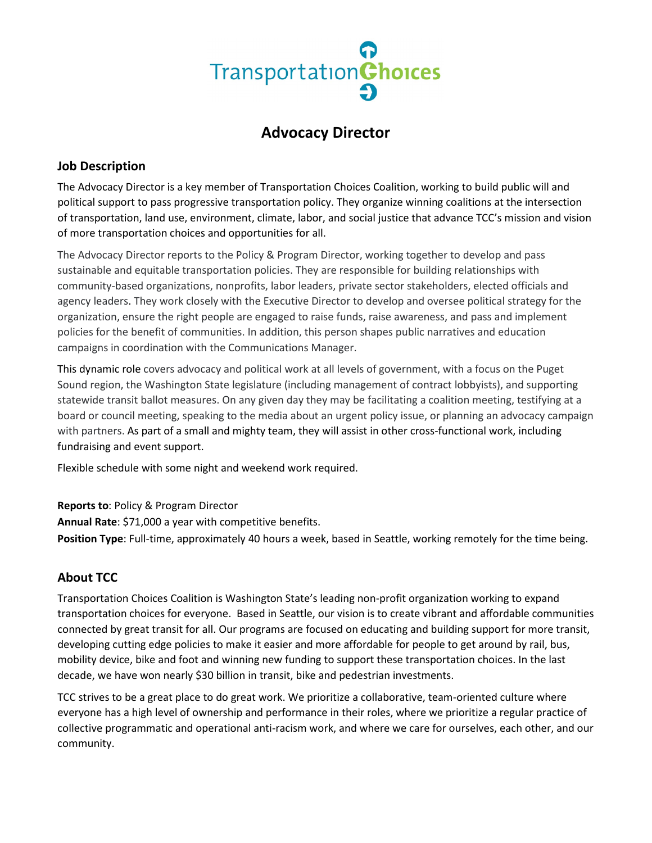# TransportationChoices

# **Advocacy Director**

# **Job Description**

The Advocacy Director is a key member of Transportation Choices Coalition, working to build public will and political support to pass progressive transportation policy. They organize winning coalitions at the intersection of transportation, land use, environment, climate, labor, and social justice that advance TCC's mission and vision of more transportation choices and opportunities for all.

The Advocacy Director reports to the Policy & Program Director, working together to develop and pass sustainable and equitable transportation policies. They are responsible for building relationships with community-based organizations, nonprofits, labor leaders, private sector stakeholders, elected officials and agency leaders. They work closely with the Executive Director to develop and oversee political strategy for the organization, ensure the right people are engaged to raise funds, raise awareness, and pass and implement policies for the benefit of communities. In addition, this person shapes public narratives and education campaigns in coordination with the Communications Manager.

This dynamic role covers advocacy and political work at all levels of government, with a focus on the Puget Sound region, the Washington State legislature (including management of contract lobbyists), and supporting statewide transit ballot measures. On any given day they may be facilitating a coalition meeting, testifying at a board or council meeting, speaking to the media about an urgent policy issue, or planning an advocacy campaign with partners. As part of a small and mighty team, they will assist in other cross-functional work, including fundraising and event support.

Flexible schedule with some night and weekend work required.

**Reports to**: Policy & Program Director

**Annual Rate**: \$71,000 a year with competitive benefits.

**Position Type**: Full-time, approximately 40 hours a week, based in Seattle, working remotely for the time being.

# **About TCC**

Transportation Choices Coalition is Washington State's leading non-profit organization working to expand transportation choices for everyone. Based in Seattle, our vision is to create vibrant and affordable communities connected by great transit for all. Our programs are focused on educating and building support for more transit, developing cutting edge policies to make it easier and more affordable for people to get around by rail, bus, mobility device, bike and foot and winning new funding to support these transportation choices. In the last decade, we have won nearly \$30 billion in transit, bike and pedestrian investments.

TCC strives to be a great place to do great work. We prioritize a collaborative, team-oriented culture where everyone has a high level of ownership and performance in their roles, where we prioritize a regular practice of collective programmatic and operational anti-racism work, and where we care for ourselves, each other, and our community.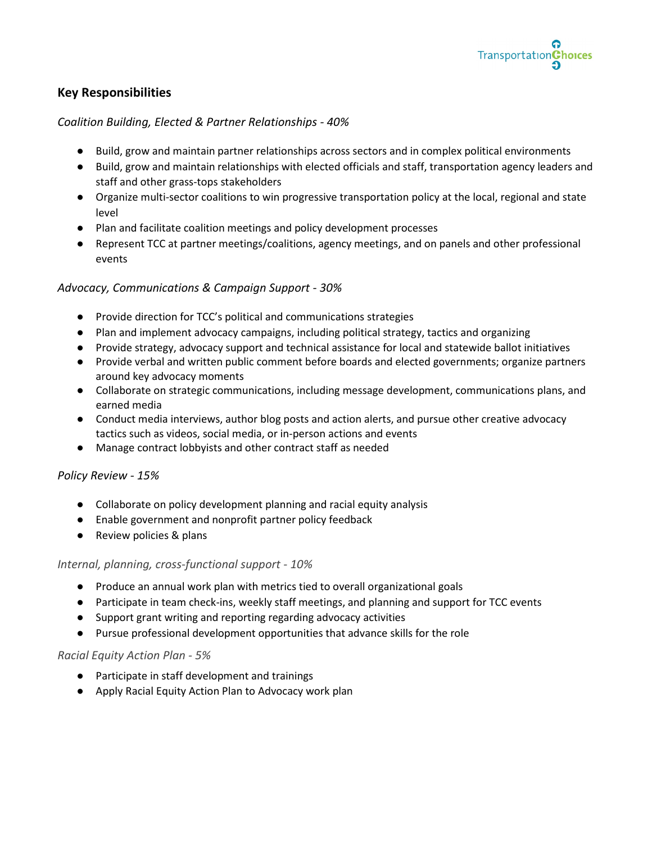

# **Key Responsibilities**

### *Coalition Building, Elected & Partner Relationships - 40%*

- Build, grow and maintain partner relationships across sectors and in complex political environments
- Build, grow and maintain relationships with elected officials and staff, transportation agency leaders and staff and other grass-tops stakeholders
- Organize multi-sector coalitions to win progressive transportation policy at the local, regional and state level
- Plan and facilitate coalition meetings and policy development processes
- Represent TCC at partner meetings/coalitions, agency meetings, and on panels and other professional events

### *Advocacy, Communications & Campaign Support - 30%*

- Provide direction for TCC's political and communications strategies
- Plan and implement advocacy campaigns, including political strategy, tactics and organizing
- Provide strategy, advocacy support and technical assistance for local and statewide ballot initiatives
- Provide verbal and written public comment before boards and elected governments; organize partners around key advocacy moments
- Collaborate on strategic communications, including message development, communications plans, and earned media
- Conduct media interviews, author blog posts and action alerts, and pursue other creative advocacy tactics such as videos, social media, or in-person actions and events
- Manage contract lobbyists and other contract staff as needed

### *Policy Review - 15%*

- Collaborate on policy development planning and racial equity analysis
- Enable government and nonprofit partner policy feedback
- Review policies & plans

### *Internal, planning, cross-functional support - 10%*

- Produce an annual work plan with metrics tied to overall organizational goals
- Participate in team check-ins, weekly staff meetings, and planning and support for TCC events
- Support grant writing and reporting regarding advocacy activities
- Pursue professional development opportunities that advance skills for the role

### *Racial Equity Action Plan - 5%*

- Participate in staff development and trainings
- Apply Racial Equity Action Plan to Advocacy work plan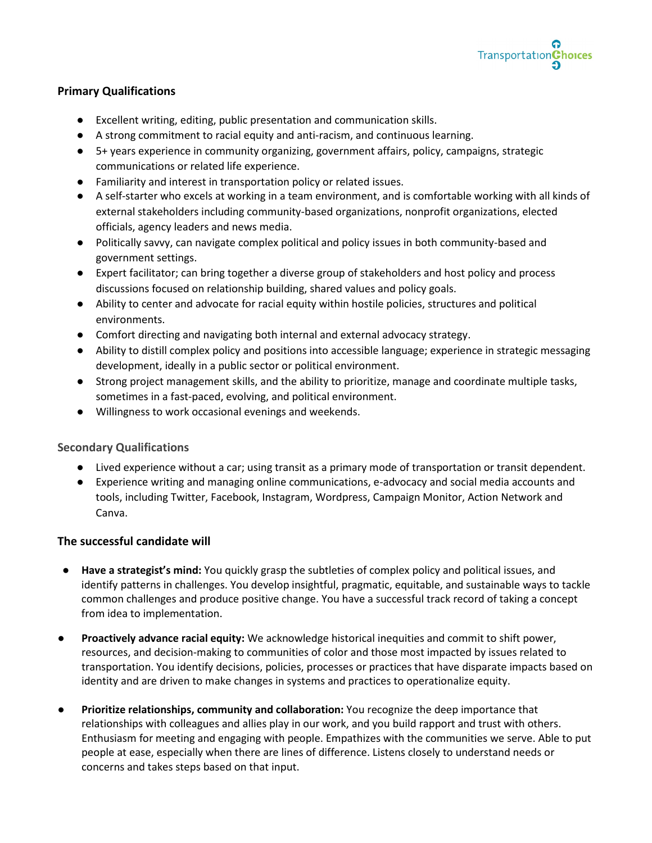

### **Primary Qualifications**

- Excellent writing, editing, public presentation and communication skills.
- A strong commitment to racial equity and anti-racism, and continuous learning.
- 5+ years experience in community organizing, government affairs, policy, campaigns, strategic communications or related life experience.
- Familiarity and interest in transportation policy or related issues.
- A self-starter who excels at working in a team environment, and is comfortable working with all kinds of external stakeholders including community-based organizations, nonprofit organizations, elected officials, agency leaders and news media.
- Politically savvy, can navigate complex political and policy issues in both community-based and government settings.
- Expert facilitator; can bring together a diverse group of stakeholders and host policy and process discussions focused on relationship building, shared values and policy goals.
- Ability to center and advocate for racial equity within hostile policies, structures and political environments.
- Comfort directing and navigating both internal and external advocacy strategy.
- Ability to distill complex policy and positions into accessible language; experience in strategic messaging development, ideally in a public sector or political environment.
- Strong project management skills, and the ability to prioritize, manage and coordinate multiple tasks, sometimes in a fast-paced, evolving, and political environment.
- Willingness to work occasional evenings and weekends.

### **Secondary Qualifications**

- Lived experience without a car; using transit as a primary mode of transportation or transit dependent.
- Experience writing and managing online communications, e-advocacy and social media accounts and tools, including Twitter, Facebook, Instagram, Wordpress, Campaign Monitor, Action Network and Canva.

### **The successful candidate will**

- **Have a strategist's mind:** You quickly grasp the subtleties of complex policy and political issues, and identify patterns in challenges. You develop insightful, pragmatic, equitable, and sustainable ways to tackle common challenges and produce positive change. You have a successful track record of taking a concept from idea to implementation.
- **Proactively advance racial equity:** We acknowledge historical inequities and commit to shift power, resources, and decision-making to communities of color and those most impacted by issues related to transportation. You identify decisions, policies, processes or practices that have disparate impacts based on identity and are driven to make changes in systems and practices to operationalize equity.
- **Prioritize relationships, community and collaboration:** You recognize the deep importance that relationships with colleagues and allies play in our work, and you build rapport and trust with others. Enthusiasm for meeting and engaging with people. Empathizes with the communities we serve. Able to put people at ease, especially when there are lines of difference. Listens closely to understand needs or concerns and takes steps based on that input.